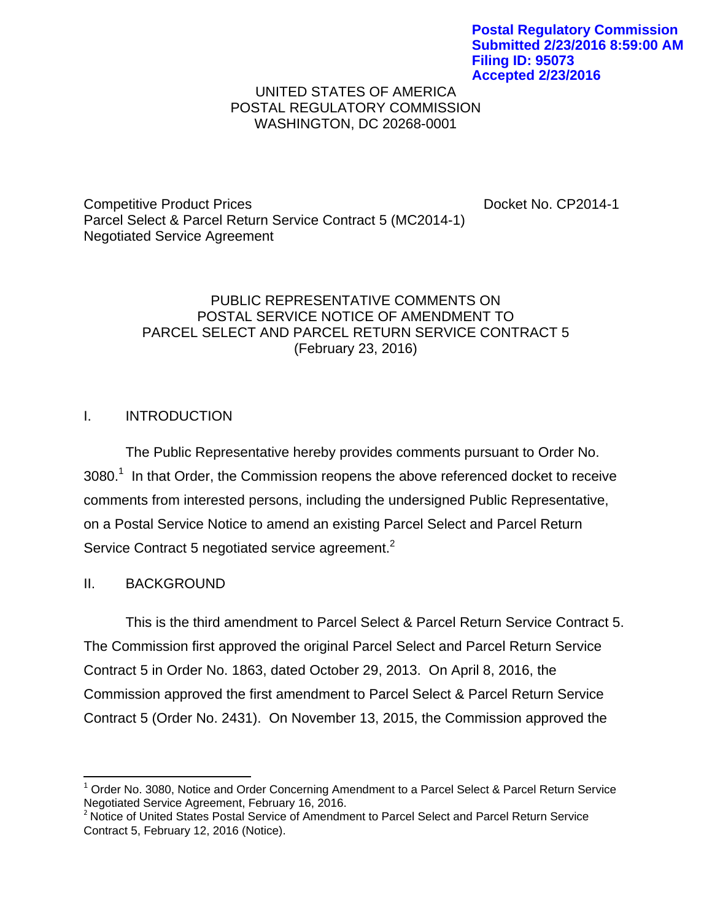**Postal Regulatory Commission Submitted 2/23/2016 8:59:00 AM Filing ID: 95073 Accepted 2/23/2016**

#### UNITED STATES OF AMERICA POSTAL REGULATORY COMMISSION WASHINGTON, DC 20268-0001

Competitive Product Prices **Docket No. CP2014-1** Parcel Select & Parcel Return Service Contract 5 (MC2014-1) Negotiated Service Agreement

### PUBLIC REPRESENTATIVE COMMENTS ON POSTAL SERVICE NOTICE OF AMENDMENT TO PARCEL SELECT AND PARCEL RETURN SERVICE CONTRACT 5 (February 23, 2016)

# I. INTRODUCTION

The Public Representative hereby provides comments pursuant to Order No.  $3080.<sup>1</sup>$  In that Order, the Commission reopens the above referenced docket to receive comments from interested persons, including the undersigned Public Representative, on a Postal Service Notice to amend an existing Parcel Select and Parcel Return Service Contract 5 negotiated service agreement. $2$ 

# II. BACKGROUND

This is the third amendment to Parcel Select & Parcel Return Service Contract 5. The Commission first approved the original Parcel Select and Parcel Return Service Contract 5 in Order No. 1863, dated October 29, 2013. On April 8, 2016, the Commission approved the first amendment to Parcel Select & Parcel Return Service Contract 5 (Order No. 2431). On November 13, 2015, the Commission approved the

<sup>&</sup>lt;sup>1</sup> Order No. 3080, Notice and Order Concerning Amendment to a Parcel Select & Parcel Return Service Negotiated Service Agreement, February 16, 2016.

<sup>&</sup>lt;sup>2</sup> Notice of United States Postal Service of Amendment to Parcel Select and Parcel Return Service Contract 5, February 12, 2016 (Notice).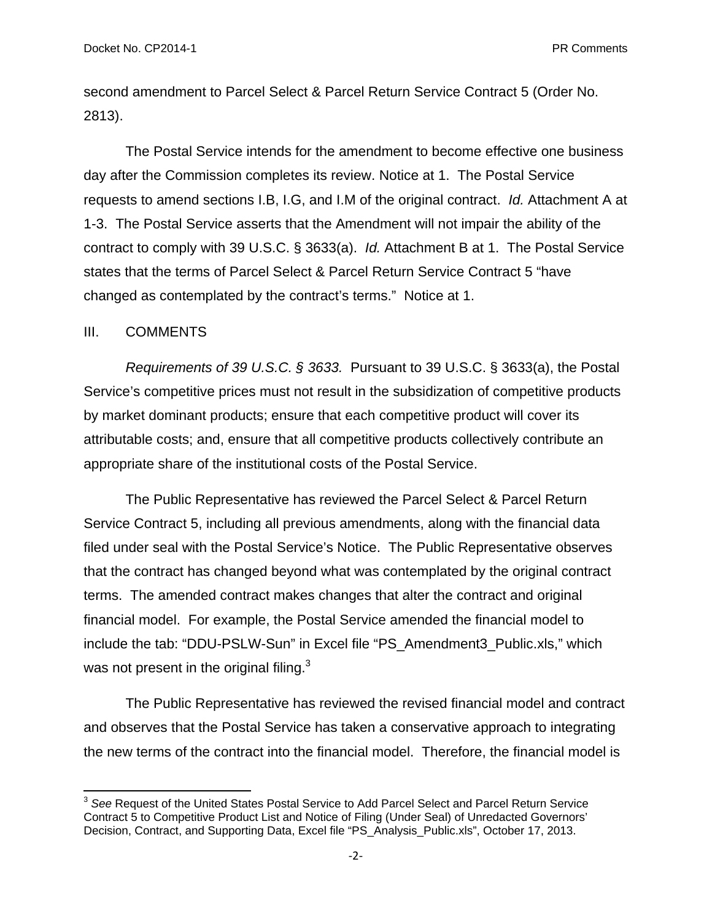second amendment to Parcel Select & Parcel Return Service Contract 5 (Order No. 2813).

The Postal Service intends for the amendment to become effective one business day after the Commission completes its review. Notice at 1. The Postal Service requests to amend sections I.B, I.G, and I.M of the original contract. *Id.* Attachment A at 1-3. The Postal Service asserts that the Amendment will not impair the ability of the contract to comply with 39 U.S.C. § 3633(a). *Id.* Attachment B at 1. The Postal Service states that the terms of Parcel Select & Parcel Return Service Contract 5 "have changed as contemplated by the contract's terms." Notice at 1.

#### III. COMMENTS

 $\frac{1}{\sqrt{2}}$  . The contract of the contract of the contract of  $\frac{1}{\sqrt{2}}$ 

*Requirements of 39 U.S.C. § 3633.* Pursuant to 39 U.S.C. § 3633(a), the Postal Service's competitive prices must not result in the subsidization of competitive products by market dominant products; ensure that each competitive product will cover its attributable costs; and, ensure that all competitive products collectively contribute an appropriate share of the institutional costs of the Postal Service.

The Public Representative has reviewed the Parcel Select & Parcel Return Service Contract 5, including all previous amendments, along with the financial data filed under seal with the Postal Service's Notice. The Public Representative observes that the contract has changed beyond what was contemplated by the original contract terms. The amended contract makes changes that alter the contract and original financial model. For example, the Postal Service amended the financial model to include the tab: "DDU-PSLW-Sun" in Excel file "PS\_Amendment3\_Public.xls," which was not present in the original filing.<sup>3</sup>

The Public Representative has reviewed the revised financial model and contract and observes that the Postal Service has taken a conservative approach to integrating the new terms of the contract into the financial model. Therefore, the financial model is

<sup>3</sup> *See* Request of the United States Postal Service to Add Parcel Select and Parcel Return Service Contract 5 to Competitive Product List and Notice of Filing (Under Seal) of Unredacted Governors' Decision, Contract, and Supporting Data, Excel file "PS\_Analysis\_Public.xls", October 17, 2013.